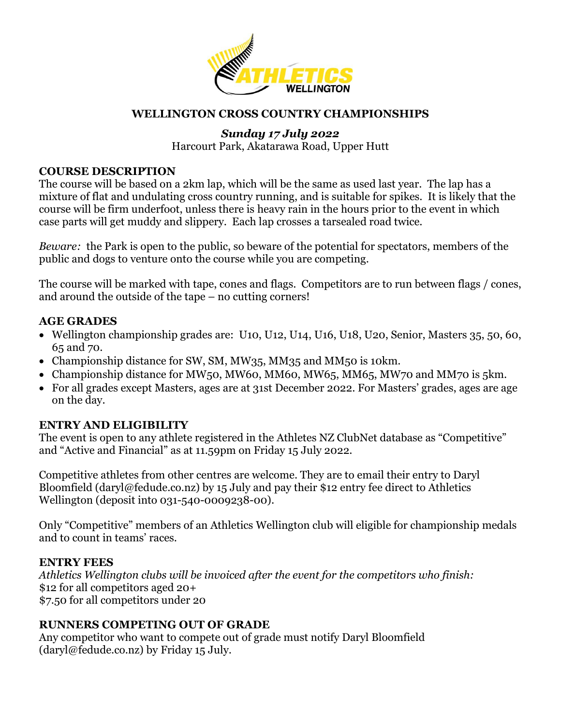

## **WELLINGTON CROSS COUNTRY CHAMPIONSHIPS**

# *Sunday 17 July 2022*

Harcourt Park, Akatarawa Road, Upper Hutt

#### **COURSE DESCRIPTION**

The course will be based on a 2km lap, which will be the same as used last year. The lap has a mixture of flat and undulating cross country running, and is suitable for spikes. It is likely that the course will be firm underfoot, unless there is heavy rain in the hours prior to the event in which case parts will get muddy and slippery. Each lap crosses a tarsealed road twice.

*Beware:* the Park is open to the public, so beware of the potential for spectators, members of the public and dogs to venture onto the course while you are competing.

The course will be marked with tape, cones and flags. Competitors are to run between flags / cones, and around the outside of the tape – no cutting corners!

### **AGE GRADES**

- Wellington championship grades are: U10, U12, U14, U16, U18, U20, Senior, Masters 35, 50, 60, 65 and 70.
- Championship distance for SW, SM, MW35, MM35 and MM50 is 10km.
- Championship distance for MW50, MW60, MM60, MW65, MM65, MW70 and MM70 is 5km.
- For all grades except Masters, ages are at 31st December 2022. For Masters' grades, ages are age on the day.

# **ENTRY AND ELIGIBILITY**

The event is open to any athlete registered in the Athletes NZ ClubNet database as "Competitive" and "Active and Financial" as at 11.59pm on Friday 15 July 2022.

Competitive athletes from other centres are welcome. They are to email their entry to Daryl Bloomfield [\(daryl@fedude.co.nz\)](mailto:daryl@fedude.co.nz) by 15 July and pay their \$12 entry fee direct to Athletics Wellington (deposit into 031-540-0009238-00).

Only "Competitive" members of an Athletics Wellington club will eligible for championship medals and to count in teams' races.

### **ENTRY FEES**

*Athletics Wellington clubs will be invoiced after the event for the competitors who finish:*  \$12 for all competitors aged 20+ \$7.50 for all competitors under 20

### **RUNNERS COMPETING OUT OF GRADE**

Any competitor who want to compete out of grade must notify Daryl Bloomfield  $(daryl@fedude.co.nz)$  by Friday 15 July.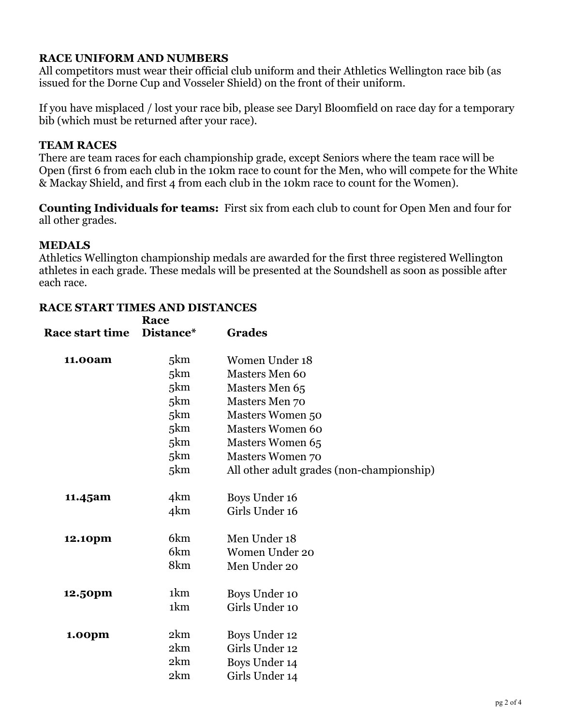# **RACE UNIFORM AND NUMBERS**

All competitors must wear their official club uniform and their Athletics Wellington race bib (as issued for the Dorne Cup and Vosseler Shield) on the front of their uniform.

If you have misplaced / lost your race bib, please see Daryl Bloomfield on race day for a temporary bib (which must be returned after your race).

## **TEAM RACES**

There are team races for each championship grade, except Seniors where the team race will be Open (first 6 from each club in the 10km race to count for the Men, who will compete for the White & Mackay Shield, and first 4 from each club in the 10km race to count for the Women).

**Counting Individuals for teams:** First six from each club to count for Open Men and four for all other grades.

## **MEDALS**

Athletics Wellington championship medals are awarded for the first three registered Wellington athletes in each grade. These medals will be presented at the Soundshell as soon as possible after each race.

|                        | Race            |                                           |
|------------------------|-----------------|-------------------------------------------|
| <b>Race start time</b> | Distance*       | <b>Grades</b>                             |
| 11.00am                | 5km             | Women Under 18                            |
|                        | 5 <sub>km</sub> | Masters Men 60                            |
|                        | 5km             | Masters Men 65                            |
|                        | 5km             | Masters Men 70                            |
|                        | 5 <sub>km</sub> | <b>Masters Women 50</b>                   |
|                        | 5 <sub>km</sub> | <b>Masters Women 60</b>                   |
|                        | 5 <sub>km</sub> | Masters Women 65                          |
|                        | 5km             | <b>Masters Women 70</b>                   |
|                        | 5km             | All other adult grades (non-championship) |
| 11.45am                | 4 <sub>km</sub> | Boys Under 16                             |
|                        | 4km             | Girls Under 16                            |
| 12.10pm                | 6 <sub>km</sub> | Men Under 18                              |
|                        | 6 <sub>km</sub> | Women Under 20                            |
|                        | 8km             | Men Under 20                              |
| 12.50pm                | 1 <sub>km</sub> | Boys Under 10                             |
|                        | 1 <sub>km</sub> | Girls Under 10                            |
| 1.00pm                 | 2km             | Boys Under 12                             |
|                        | 2km             | Girls Under 12                            |
|                        | 2km             | Boys Under 14                             |
|                        | 2km             | Girls Under 14                            |
|                        |                 |                                           |

### **RACE START TIMES AND DISTANCES**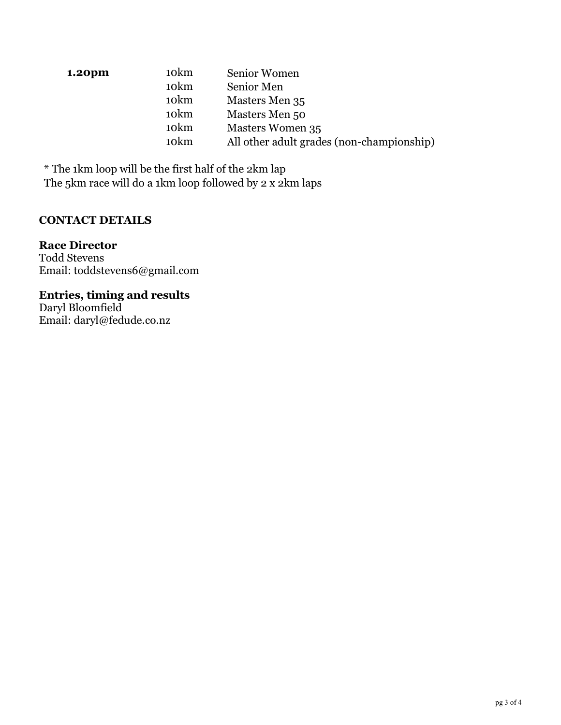| 1.20pm | 10 <sub>km</sub> | Senior Women                              |
|--------|------------------|-------------------------------------------|
|        | 10 <sub>km</sub> | Senior Men                                |
|        | 10 <sub>km</sub> | Masters Men 35                            |
|        | 10 <sub>km</sub> | Masters Men 50                            |
|        | 10 <sub>km</sub> | <b>Masters Women 35</b>                   |
|        | 10 <sub>km</sub> | All other adult grades (non-championship) |

\* The 1km loop will be the first half of the 2km lap The 5km race will do a 1km loop followed by 2 x 2km laps

# **CONTACT DETAILS**

## **Race Director**

Todd Stevens Email: [toddstevens6@gmail.com](mailto:todd.stevens@pwc.com)

## **Entries, timing and results**

Daryl Bloomfield Email: [daryl@fedude.co.nz](mailto:daryl@fedude.co.nz)